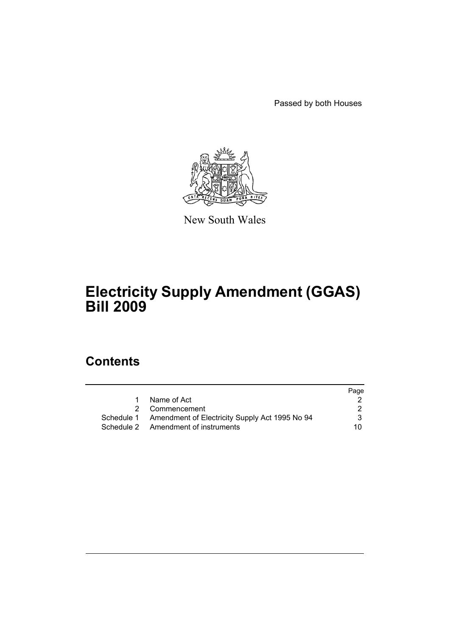Passed by both Houses



New South Wales

# **Electricity Supply Amendment (GGAS) Bill 2009**

# **Contents**

|                                                           | Page |
|-----------------------------------------------------------|------|
| Name of Act                                               |      |
| 2 Commencement                                            | 2    |
| Schedule 1 Amendment of Electricity Supply Act 1995 No 94 | 3    |
| Schedule 2 Amendment of instruments                       | 10.  |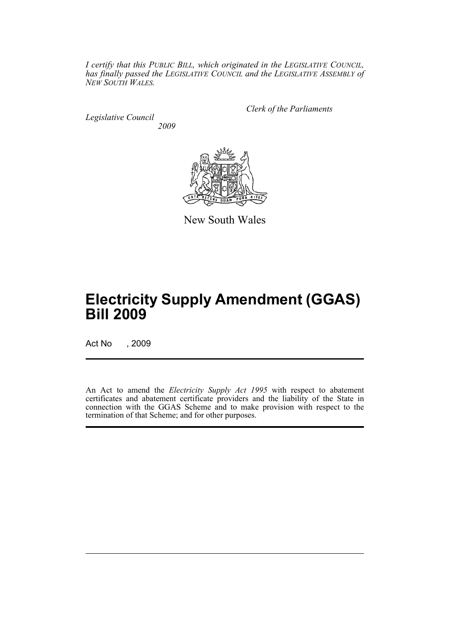*I certify that this PUBLIC BILL, which originated in the LEGISLATIVE COUNCIL, has finally passed the LEGISLATIVE COUNCIL and the LEGISLATIVE ASSEMBLY of NEW SOUTH WALES.*

*Legislative Council 2009* *Clerk of the Parliaments*



New South Wales

# **Electricity Supply Amendment (GGAS) Bill 2009**

Act No , 2009

An Act to amend the *Electricity Supply Act 1995* with respect to abatement certificates and abatement certificate providers and the liability of the State in connection with the GGAS Scheme and to make provision with respect to the termination of that Scheme; and for other purposes.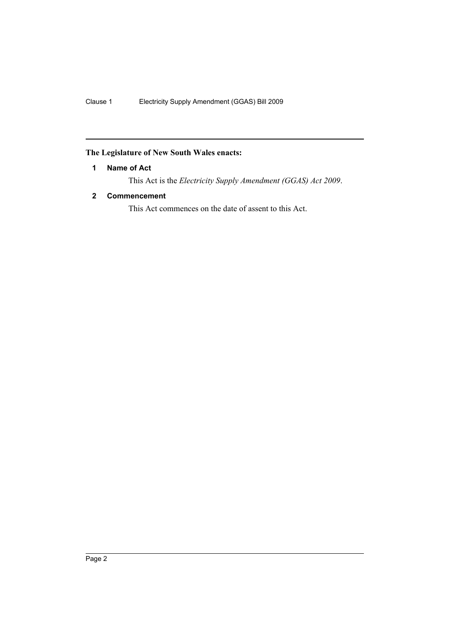## <span id="page-3-0"></span>**The Legislature of New South Wales enacts:**

## **1 Name of Act**

This Act is the *Electricity Supply Amendment (GGAS) Act 2009*.

## <span id="page-3-1"></span>**2 Commencement**

This Act commences on the date of assent to this Act.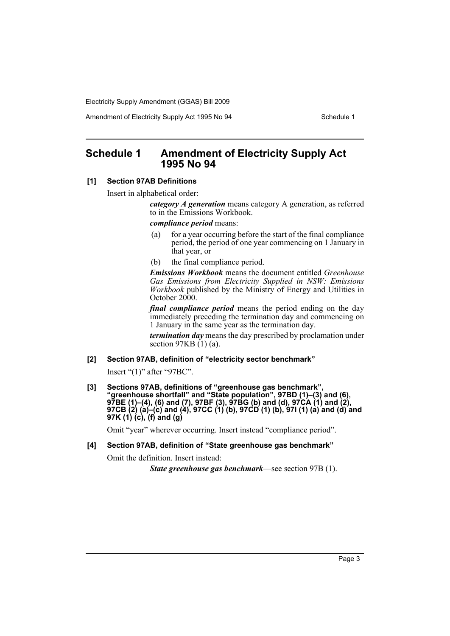Amendment of Electricity Supply Act 1995 No 94 Schedule 1

## <span id="page-4-0"></span>**Schedule 1 Amendment of Electricity Supply Act 1995 No 94**

#### **[1] Section 97AB Definitions**

Insert in alphabetical order:

*category A generation* means category A generation, as referred to in the Emissions Workbook.

*compliance period* means:

- (a) for a year occurring before the start of the final compliance period, the period of one year commencing on 1 January in that year, or
- (b) the final compliance period.

*Emissions Workbook* means the document entitled *Greenhouse Gas Emissions from Electricity Supplied in NSW: Emissions Workbook* published by the Ministry of Energy and Utilities in October 2000.

*final compliance period* means the period ending on the day immediately preceding the termination day and commencing on 1 January in the same year as the termination day.

*termination day* means the day prescribed by proclamation under section  $97KB(1)(a)$ .

**[2] Section 97AB, definition of "electricity sector benchmark"**

Insert "(1)" after "97BC".

**[3] Sections 97AB, definitions of "greenhouse gas benchmark", "greenhouse shortfall" and "State population", 97BD (1)–(3) and (6), 97BE (1)–(4), (6) and (7), 97BF (3), 97BG (b) and (d), 97CA (1) and (2), 97CB (2) (a)–(c) and (4), 97CC (1) (b), 97CD (1) (b), 97I (1) (a) and (d) and 97K (1) (c), (f) and (g)**

Omit "year" wherever occurring. Insert instead "compliance period".

#### **[4] Section 97AB, definition of "State greenhouse gas benchmark"**

Omit the definition. Insert instead:

*State greenhouse gas benchmark*—see section 97B (1).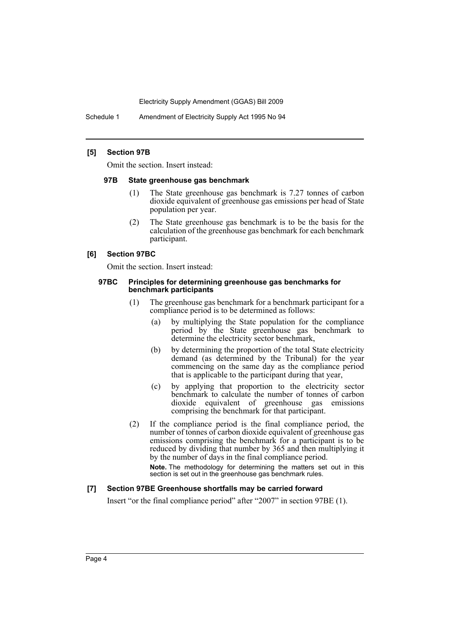Schedule 1 Amendment of Electricity Supply Act 1995 No 94

#### **[5] Section 97B**

Omit the section. Insert instead:

#### **97B State greenhouse gas benchmark**

- (1) The State greenhouse gas benchmark is 7.27 tonnes of carbon dioxide equivalent of greenhouse gas emissions per head of State population per year.
- (2) The State greenhouse gas benchmark is to be the basis for the calculation of the greenhouse gas benchmark for each benchmark participant.

#### **[6] Section 97BC**

Omit the section. Insert instead:

#### **97BC Principles for determining greenhouse gas benchmarks for benchmark participants**

- (1) The greenhouse gas benchmark for a benchmark participant for a compliance period is to be determined as follows:
	- (a) by multiplying the State population for the compliance period by the State greenhouse gas benchmark to determine the electricity sector benchmark,
	- (b) by determining the proportion of the total State electricity demand (as determined by the Tribunal) for the year commencing on the same day as the compliance period that is applicable to the participant during that year,
	- (c) by applying that proportion to the electricity sector benchmark to calculate the number of tonnes of carbon dioxide equivalent of greenhouse gas emissions comprising the benchmark for that participant.
- (2) If the compliance period is the final compliance period, the number of tonnes of carbon dioxide equivalent of greenhouse gas emissions comprising the benchmark for a participant is to be reduced by dividing that number by 365 and then multiplying it by the number of days in the final compliance period.

**Note.** The methodology for determining the matters set out in this section is set out in the greenhouse gas benchmark rules.

#### **[7] Section 97BE Greenhouse shortfalls may be carried forward**

Insert "or the final compliance period" after "2007" in section 97BE (1).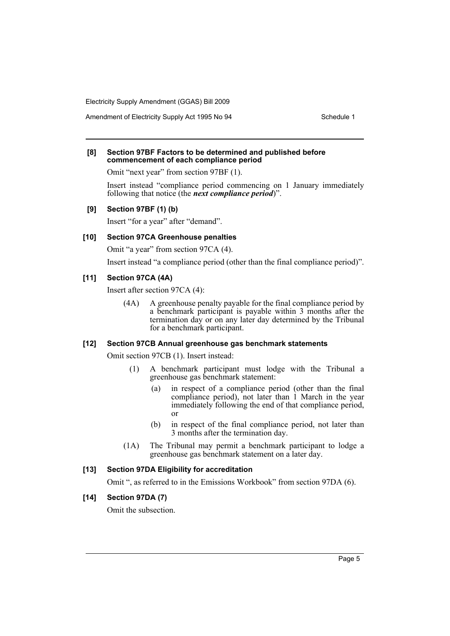Amendment of Electricity Supply Act 1995 No 94 Schedule 1

#### **[8] Section 97BF Factors to be determined and published before commencement of each compliance period**

Omit "next year" from section 97BF (1).

Insert instead "compliance period commencing on 1 January immediately following that notice (the *next compliance period*)".

#### **[9] Section 97BF (1) (b)**

Insert "for a year" after "demand".

#### **[10] Section 97CA Greenhouse penalties**

Omit "a year" from section 97CA (4).

Insert instead "a compliance period (other than the final compliance period)".

### **[11] Section 97CA (4A)**

Insert after section 97CA (4):

(4A) A greenhouse penalty payable for the final compliance period by a benchmark participant is payable within 3 months after the termination day or on any later day determined by the Tribunal for a benchmark participant.

#### **[12] Section 97CB Annual greenhouse gas benchmark statements**

Omit section 97CB (1). Insert instead:

- (1) A benchmark participant must lodge with the Tribunal a greenhouse gas benchmark statement:
	- (a) in respect of a compliance period (other than the final compliance period), not later than 1 March in the year immediately following the end of that compliance period, or
	- (b) in respect of the final compliance period, not later than 3 months after the termination day.
- (1A) The Tribunal may permit a benchmark participant to lodge a greenhouse gas benchmark statement on a later day.

## **[13] Section 97DA Eligibility for accreditation**

Omit ", as referred to in the Emissions Workbook" from section 97DA (6).

#### **[14] Section 97DA (7)**

Omit the subsection.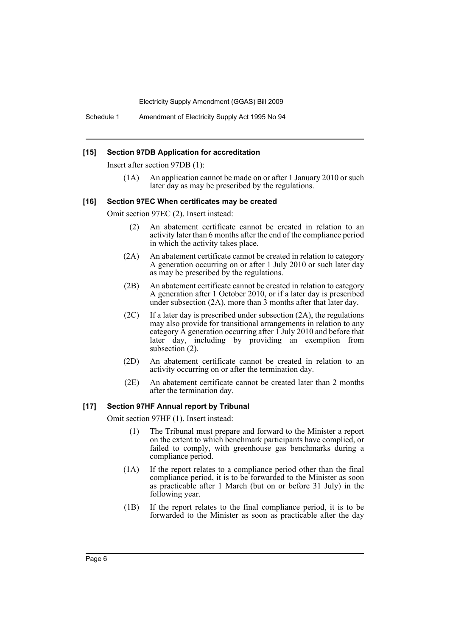#### **[15] Section 97DB Application for accreditation**

Insert after section 97DB (1):

(1A) An application cannot be made on or after 1 January 2010 or such later day as may be prescribed by the regulations.

#### **[16] Section 97EC When certificates may be created**

Omit section 97EC (2). Insert instead:

- (2) An abatement certificate cannot be created in relation to an activity later than 6 months after the end of the compliance period in which the activity takes place.
- (2A) An abatement certificate cannot be created in relation to category A generation occurring on or after 1 July 2010 or such later day as may be prescribed by the regulations.
- (2B) An abatement certificate cannot be created in relation to category A generation after 1 October 2010, or if a later day is prescribed under subsection (2A), more than 3 months after that later day.
- $(2C)$  If a later day is prescribed under subsection  $(2A)$ , the regulations may also provide for transitional arrangements in relation to any category A generation occurring after 1 July 2010 and before that later day, including by providing an exemption from subsection (2).
- (2D) An abatement certificate cannot be created in relation to an activity occurring on or after the termination day.
- (2E) An abatement certificate cannot be created later than 2 months after the termination day.

#### **[17] Section 97HF Annual report by Tribunal**

Omit section 97HF (1). Insert instead:

- (1) The Tribunal must prepare and forward to the Minister a report on the extent to which benchmark participants have complied, or failed to comply, with greenhouse gas benchmarks during a compliance period.
- (1A) If the report relates to a compliance period other than the final compliance period, it is to be forwarded to the Minister as soon as practicable after 1 March (but on or before 31 July) in the following year.
- (1B) If the report relates to the final compliance period, it is to be forwarded to the Minister as soon as practicable after the day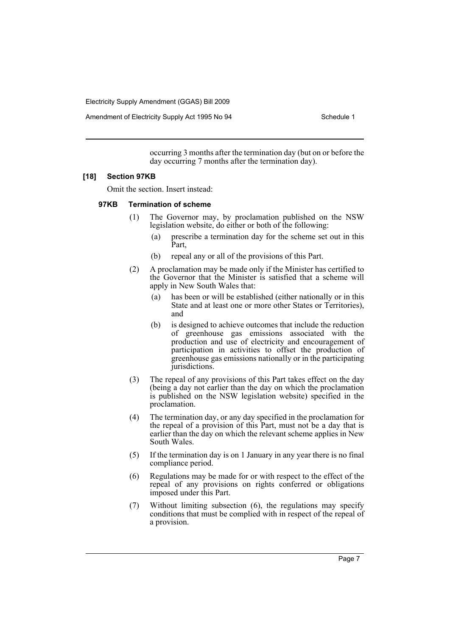Amendment of Electricity Supply Act 1995 No 94 Schedule 1

occurring 3 months after the termination day (but on or before the day occurring 7 months after the termination day).

#### **[18] Section 97KB**

Omit the section. Insert instead:

#### **97KB Termination of scheme**

- (1) The Governor may, by proclamation published on the NSW legislation website, do either or both of the following:
	- (a) prescribe a termination day for the scheme set out in this Part,
	- (b) repeal any or all of the provisions of this Part.
- (2) A proclamation may be made only if the Minister has certified to the Governor that the Minister is satisfied that a scheme will apply in New South Wales that:
	- (a) has been or will be established (either nationally or in this State and at least one or more other States or Territories), and
	- (b) is designed to achieve outcomes that include the reduction of greenhouse gas emissions associated with the production and use of electricity and encouragement of participation in activities to offset the production of greenhouse gas emissions nationally or in the participating jurisdictions.
- (3) The repeal of any provisions of this Part takes effect on the day (being a day not earlier than the day on which the proclamation is published on the NSW legislation website) specified in the proclamation.
- (4) The termination day, or any day specified in the proclamation for the repeal of a provision of this Part, must not be a day that is earlier than the day on which the relevant scheme applies in New South Wales.
- (5) If the termination day is on 1 January in any year there is no final compliance period.
- (6) Regulations may be made for or with respect to the effect of the repeal of any provisions on rights conferred or obligations imposed under this Part.
- (7) Without limiting subsection (6), the regulations may specify conditions that must be complied with in respect of the repeal of a provision.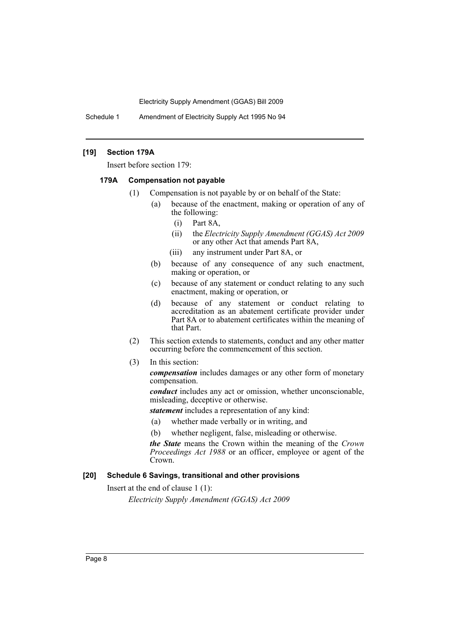Schedule 1 Amendment of Electricity Supply Act 1995 No 94

### **[19] Section 179A**

Insert before section 179:

#### **179A Compensation not payable**

- (1) Compensation is not payable by or on behalf of the State:
	- (a) because of the enactment, making or operation of any of the following:
		- (i) Part 8A,
		- (ii) the *Electricity Supply Amendment (GGAS) Act 2009* or any other Act that amends Part 8A,
		- (iii) any instrument under Part 8A, or
	- (b) because of any consequence of any such enactment, making or operation, or
	- (c) because of any statement or conduct relating to any such enactment, making or operation, or
	- (d) because of any statement or conduct relating to accreditation as an abatement certificate provider under Part 8A or to abatement certificates within the meaning of that Part.
- (2) This section extends to statements, conduct and any other matter occurring before the commencement of this section.
- (3) In this section:

*compensation* includes damages or any other form of monetary compensation.

*conduct* includes any act or omission, whether unconscionable, misleading, deceptive or otherwise.

*statement* includes a representation of any kind:

- (a) whether made verbally or in writing, and
- (b) whether negligent, false, misleading or otherwise.

*the State* means the Crown within the meaning of the *Crown Proceedings Act 1988* or an officer, employee or agent of the Crown.

## **[20] Schedule 6 Savings, transitional and other provisions**

Insert at the end of clause 1 (1):

*Electricity Supply Amendment (GGAS) Act 2009*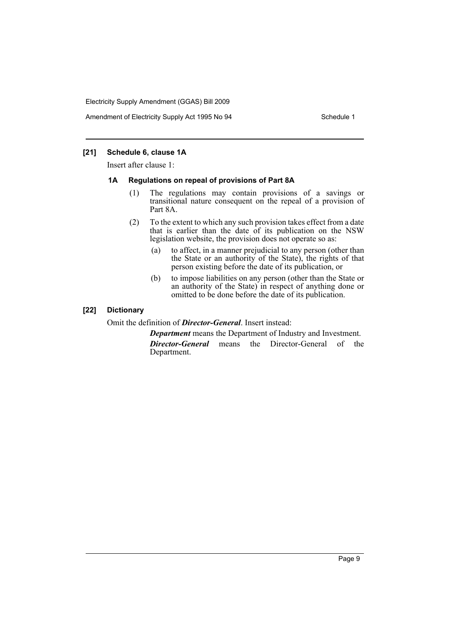Amendment of Electricity Supply Act 1995 No 94 Schedule 1

## **[21] Schedule 6, clause 1A**

Insert after clause 1:

#### **1A Regulations on repeal of provisions of Part 8A**

- (1) The regulations may contain provisions of a savings or transitional nature consequent on the repeal of a provision of Part 8A.
- (2) To the extent to which any such provision takes effect from a date that is earlier than the date of its publication on the NSW legislation website, the provision does not operate so as:
	- (a) to affect, in a manner prejudicial to any person (other than the State or an authority of the State), the rights of that person existing before the date of its publication, or
	- (b) to impose liabilities on any person (other than the State or an authority of the State) in respect of anything done or omitted to be done before the date of its publication.

## **[22] Dictionary**

Omit the definition of *Director-General*. Insert instead:

*Department* means the Department of Industry and Investment. *Director-General* means the Director-General of the Department.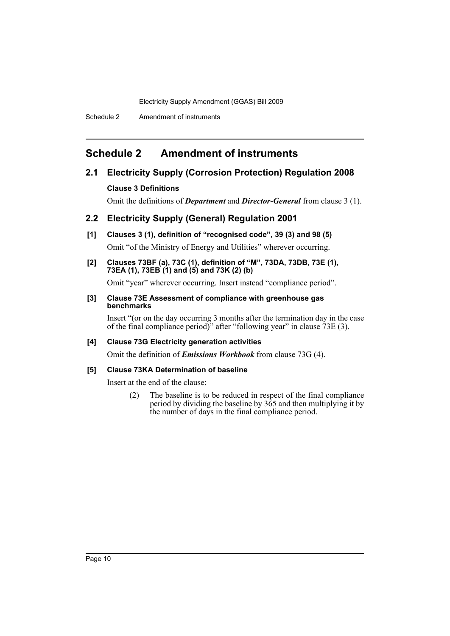Schedule 2 Amendment of instruments

# <span id="page-11-0"></span>**Schedule 2 Amendment of instruments**

## **2.1 Electricity Supply (Corrosion Protection) Regulation 2008**

## **Clause 3 Definitions**

Omit the definitions of *Department* and *Director-General* from clause 3 (1).

## **2.2 Electricity Supply (General) Regulation 2001**

- **[1] Clauses 3 (1), definition of "recognised code", 39 (3) and 98 (5)** Omit "of the Ministry of Energy and Utilities" wherever occurring.
- **[2] Clauses 73BF (a), 73C (1), definition of "M", 73DA, 73DB, 73E (1), 73EA (1), 73EB (1) and (5) and 73K (2) (b)**

Omit "year" wherever occurring. Insert instead "compliance period".

**[3] Clause 73E Assessment of compliance with greenhouse gas benchmarks**

Insert "(or on the day occurring 3 months after the termination day in the case of the final compliance period)" after "following year" in clause 73E (3).

## **[4] Clause 73G Electricity generation activities**

Omit the definition of *Emissions Workbook* from clause 73G (4).

## **[5] Clause 73KA Determination of baseline**

Insert at the end of the clause:

(2) The baseline is to be reduced in respect of the final compliance period by dividing the baseline by  $3\dot{6}5$  and then multiplying it by the number of days in the final compliance period.